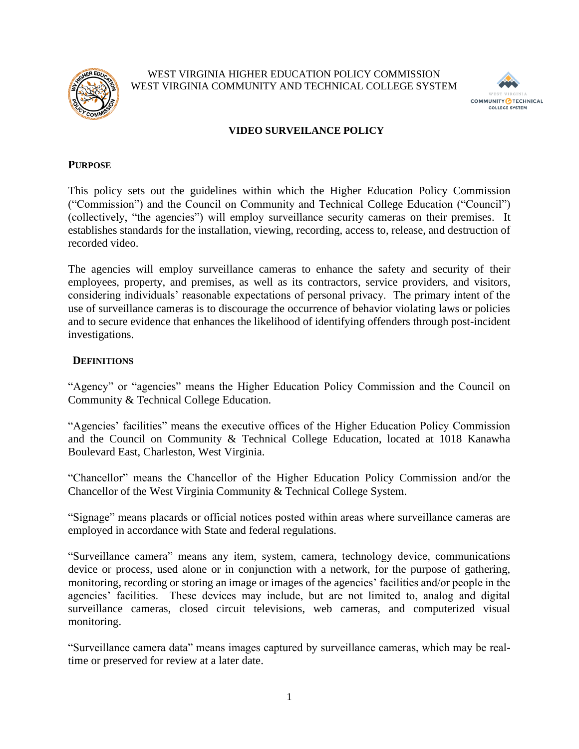

WEST VIRGINIA HIGHER EDUCATION POLICY COMMISSION WEST VIRGINIA COMMUNITY AND TECHNICAL COLLEGE SYSTEM



### **VIDEO SURVEILANCE POLICY**

#### **PURPOSE**

This policy sets out the guidelines within which the Higher Education Policy Commission ("Commission") and the Council on Community and Technical College Education ("Council") (collectively, "the agencies") will employ surveillance security cameras on their premises. It establishes standards for the installation, viewing, recording, access to, release, and destruction of recorded video.

The agencies will employ surveillance cameras to enhance the safety and security of their employees, property, and premises, as well as its contractors, service providers, and visitors, considering individuals' reasonable expectations of personal privacy. The primary intent of the use of surveillance cameras is to discourage the occurrence of behavior violating laws or policies and to secure evidence that enhances the likelihood of identifying offenders through post-incident investigations.

#### **DEFINITIONS**

"Agency" or "agencies" means the Higher Education Policy Commission and the Council on Community & Technical College Education.

"Agencies' facilities" means the executive offices of the Higher Education Policy Commission and the Council on Community & Technical College Education, located at 1018 Kanawha Boulevard East, Charleston, West Virginia.

"Chancellor" means the Chancellor of the Higher Education Policy Commission and/or the Chancellor of the West Virginia Community & Technical College System.

"Signage" means placards or official notices posted within areas where surveillance cameras are employed in accordance with State and federal regulations.

"Surveillance camera" means any item, system, camera, technology device, communications device or process, used alone or in conjunction with a network, for the purpose of gathering, monitoring, recording or storing an image or images of the agencies' facilities and/or people in the agencies' facilities. These devices may include, but are not limited to, analog and digital surveillance cameras, closed circuit televisions, web cameras, and computerized visual monitoring.

"Surveillance camera data" means images captured by surveillance cameras, which may be realtime or preserved for review at a later date.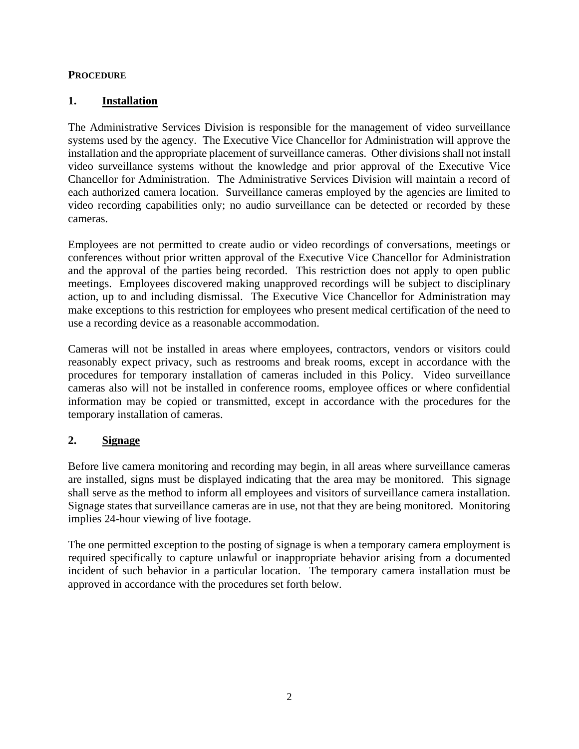## **PROCEDURE**

## **1. Installation**

The Administrative Services Division is responsible for the management of video surveillance systems used by the agency. The Executive Vice Chancellor for Administration will approve the installation and the appropriate placement of surveillance cameras. Other divisions shall not install video surveillance systems without the knowledge and prior approval of the Executive Vice Chancellor for Administration. The Administrative Services Division will maintain a record of each authorized camera location. Surveillance cameras employed by the agencies are limited to video recording capabilities only; no audio surveillance can be detected or recorded by these cameras.

Employees are not permitted to create audio or video recordings of conversations, meetings or conferences without prior written approval of the Executive Vice Chancellor for Administration and the approval of the parties being recorded. This restriction does not apply to open public meetings. Employees discovered making unapproved recordings will be subject to disciplinary action, up to and including dismissal. The Executive Vice Chancellor for Administration may make exceptions to this restriction for employees who present medical certification of the need to use a recording device as a reasonable accommodation.

Cameras will not be installed in areas where employees, contractors, vendors or visitors could reasonably expect privacy, such as restrooms and break rooms, except in accordance with the procedures for temporary installation of cameras included in this Policy. Video surveillance cameras also will not be installed in conference rooms, employee offices or where confidential information may be copied or transmitted, except in accordance with the procedures for the temporary installation of cameras.

## **2. Signage**

Before live camera monitoring and recording may begin, in all areas where surveillance cameras are installed, signs must be displayed indicating that the area may be monitored. This signage shall serve as the method to inform all employees and visitors of surveillance camera installation. Signage states that surveillance cameras are in use, not that they are being monitored. Monitoring implies 24-hour viewing of live footage.

The one permitted exception to the posting of signage is when a temporary camera employment is required specifically to capture unlawful or inappropriate behavior arising from a documented incident of such behavior in a particular location. The temporary camera installation must be approved in accordance with the procedures set forth below.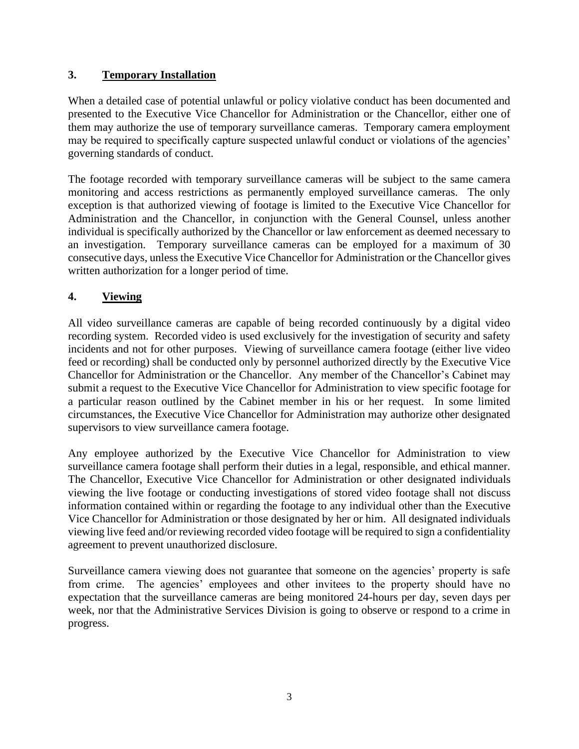## **3. Temporary Installation**

When a detailed case of potential unlawful or policy violative conduct has been documented and presented to the Executive Vice Chancellor for Administration or the Chancellor, either one of them may authorize the use of temporary surveillance cameras. Temporary camera employment may be required to specifically capture suspected unlawful conduct or violations of the agencies' governing standards of conduct.

The footage recorded with temporary surveillance cameras will be subject to the same camera monitoring and access restrictions as permanently employed surveillance cameras. The only exception is that authorized viewing of footage is limited to the Executive Vice Chancellor for Administration and the Chancellor, in conjunction with the General Counsel, unless another individual is specifically authorized by the Chancellor or law enforcement as deemed necessary to an investigation. Temporary surveillance cameras can be employed for a maximum of 30 consecutive days, unless the Executive Vice Chancellor for Administration or the Chancellor gives written authorization for a longer period of time.

## **4. Viewing**

All video surveillance cameras are capable of being recorded continuously by a digital video recording system. Recorded video is used exclusively for the investigation of security and safety incidents and not for other purposes. Viewing of surveillance camera footage (either live video feed or recording) shall be conducted only by personnel authorized directly by the Executive Vice Chancellor for Administration or the Chancellor. Any member of the Chancellor's Cabinet may submit a request to the Executive Vice Chancellor for Administration to view specific footage for a particular reason outlined by the Cabinet member in his or her request. In some limited circumstances, the Executive Vice Chancellor for Administration may authorize other designated supervisors to view surveillance camera footage.

Any employee authorized by the Executive Vice Chancellor for Administration to view surveillance camera footage shall perform their duties in a legal, responsible, and ethical manner. The Chancellor, Executive Vice Chancellor for Administration or other designated individuals viewing the live footage or conducting investigations of stored video footage shall not discuss information contained within or regarding the footage to any individual other than the Executive Vice Chancellor for Administration or those designated by her or him. All designated individuals viewing live feed and/or reviewing recorded video footage will be required to sign a confidentiality agreement to prevent unauthorized disclosure.

Surveillance camera viewing does not guarantee that someone on the agencies' property is safe from crime. The agencies' employees and other invitees to the property should have no expectation that the surveillance cameras are being monitored 24-hours per day, seven days per week, nor that the Administrative Services Division is going to observe or respond to a crime in progress.